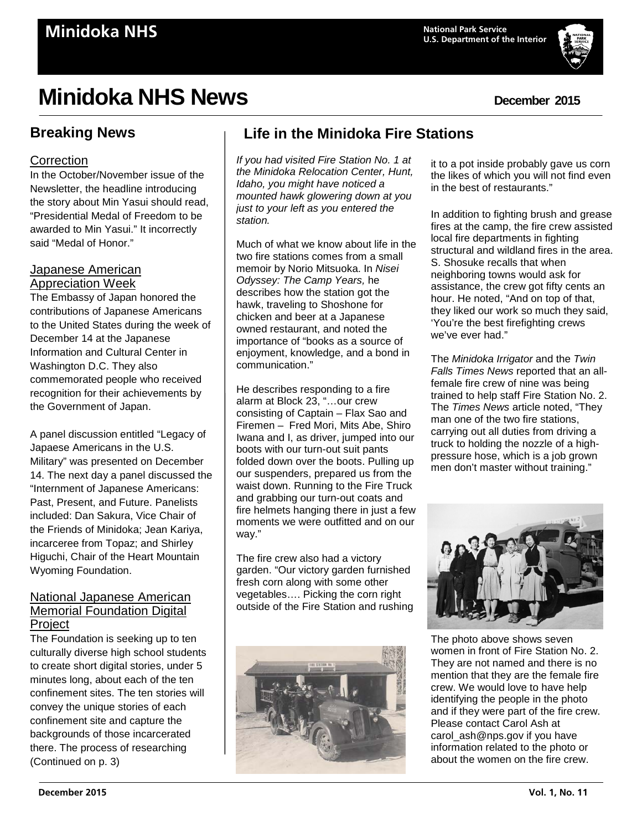# **Minidoka NHS News December** 2015

# **Breaking News**

### **Correction**

In the October/November issue of the Newsletter, the headline introducing the story about Min Yasui should read, "Presidential Medal of Freedom to be awarded to Min Yasui." It incorrectly said "Medal of Honor."

### Japanese American Appreciation Week

The Embassy of Japan honored the contributions of Japanese Americans to the United States during the week of December 14 at the Japanese Information and Cultural Center in Washington D.C. They also commemorated people who received recognition for their achievements by the Government of Japan.

A panel discussion entitled "Legacy of Japaese Americans in the U.S. Military" was presented on December 14. The next day a panel discussed the "Internment of Japanese Americans: Past, Present, and Future. Panelists included: Dan Sakura, Vice Chair of the Friends of Minidoka; Jean Kariya, incarceree from Topaz; and Shirley Higuchi, Chair of the Heart Mountain Wyoming Foundation.

### National Japanese American Memorial Foundation Digital **Project**

The Foundation is seeking up to ten culturally diverse high school students to create short digital stories, under 5 minutes long, about each of the ten confinement sites. The ten stories will convey the unique stories of each confinement site and capture the backgrounds of those incarcerated there. The process of researching (Continued on p. 3)

# **Life in the Minidoka Fire Stations**

*If you had visited Fire Station No. 1 at the Minidoka Relocation Center, Hunt, Idaho, you might have noticed a mounted hawk glowering down at you just to your left as you entered the station.*

Much of what we know about life in the two fire stations comes from a small memoir by Norio Mitsuoka. In *Nisei Odyssey: The Camp Years,* he describes how the station got the hawk, traveling to Shoshone for chicken and beer at a Japanese owned restaurant, and noted the importance of "books as a source of enjoyment, knowledge, and a bond in communication."

He describes responding to a fire alarm at Block 23, "…our crew consisting of Captain – Flax Sao and Firemen – Fred Mori, Mits Abe, Shiro Iwana and I, as driver, jumped into our boots with our turn-out suit pants folded down over the boots. Pulling up our suspenders, prepared us from the waist down. Running to the Fire Truck and grabbing our turn-out coats and fire helmets hanging there in just a few moments we were outfitted and on our way."

The fire crew also had a victory garden. "Our victory garden furnished fresh corn along with some other vegetables…. Picking the corn right outside of the Fire Station and rushing



it to a pot inside probably gave us corn the likes of which you will not find even in the best of restaurants."

In addition to fighting brush and grease fires at the camp, the fire crew assisted local fire departments in fighting structural and wildland fires in the area. S. Shosuke recalls that when neighboring towns would ask for assistance, the crew got fifty cents an hour. He noted, "And on top of that, they liked our work so much they said, 'You're the best firefighting crews we've ever had."

The *Minidoka Irrigator* and the *Twin Falls Times News* reported that an allfemale fire crew of nine was being trained to help staff Fire Station No. 2. The *Times News* article noted, "They man one of the two fire stations, carrying out all duties from driving a truck to holding the nozzle of a highpressure hose, which is a job grown men don't master without training."



The photo above shows seven women in front of Fire Station No. 2. They are not named and there is no mention that they are the female fire crew. We would love to have help identifying the people in the photo and if they were part of the fire crew. Please contact Carol Ash at carol\_ash@nps.gov if you have information related to the photo or about the women on the fire crew.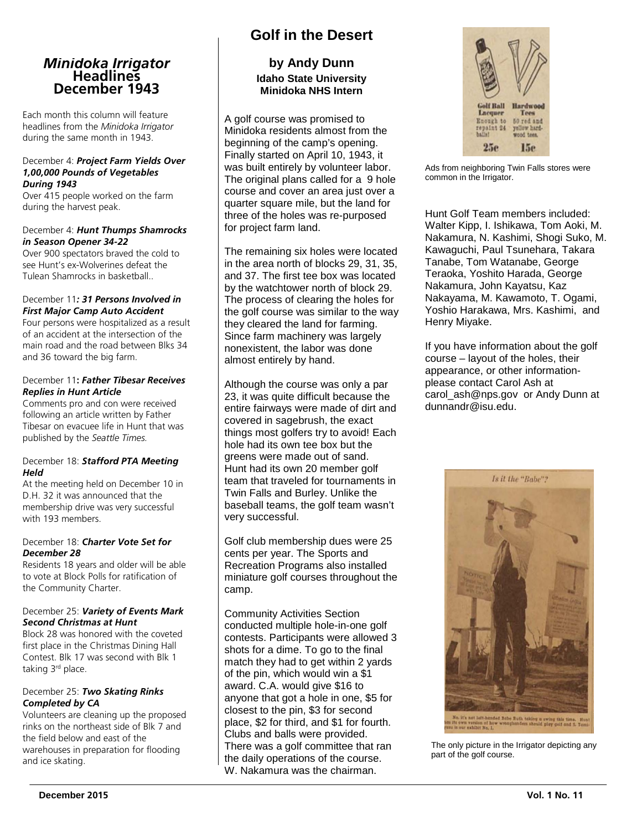# *Minidoka Irrigator* **Headlines December 1943**

Each month this column will feature headlines from the *Minidoka Irrigator* during the same month in 1943.

#### December 4: *Project Farm Yields Over 1,00,000 Pounds of Vegetables During 1943*

Over 415 people worked on the farm during the harvest peak.

#### December 4: *Hunt Thumps Shamrocks in Season Opener 34-22*

Over 900 spectators braved the cold to see Hunt's ex-Wolverines defeat the Tulean Shamrocks in basketball..

#### December 11*: 31 Persons Involved in First Major Camp Auto Accident*

Four persons were hospitalized as a result of an accident at the intersection of the main road and the road between Blks 34 and 36 toward the big farm.

#### December 11**:** *Father Tibesar Receives Replies in Hunt Article*

Comments pro and con were received following an article written by Father Tibesar on evacuee life in Hunt that was published by the *Seattle Times.*

#### December 18: *Stafford PTA Meeting Held*

At the meeting held on December 10 in D.H. 32 it was announced that the membership drive was very successful with 193 members.

#### December 18: *Charter Vote Set for December 28*

Residents 18 years and older will be able to vote at Block Polls for ratification of the Community Charter.

#### December 25: *Variety of Events Mark Second Christmas at Hunt*

Block 28 was honored with the coveted first place in the Christmas Dining Hall Contest. Blk 17 was second with Blk 1 taking 3rd place.

#### December 25: *Two Skating Rinks Completed by CA*

Volunteers are cleaning up the proposed rinks on the northeast side of Blk 7 and the field below and east of the warehouses in preparation for flooding and ice skating.

### **Golf in the Desert**

### **by Andy Dunn Idaho State University Minidoka NHS Intern**

A golf course was promised to Minidoka residents almost from the beginning of the camp's opening. Finally started on April 10, 1943, it was built entirely by volunteer labor. The original plans called for a 9 hole course and cover an area just over a quarter square mile, but the land for three of the holes was re-purposed for project farm land.

The remaining six holes were located in the area north of blocks 29, 31, 35, and 37. The first tee box was located by the watchtower north of block 29. The process of clearing the holes for the golf course was similar to the way they cleared the land for farming. Since farm machinery was largely nonexistent, the labor was done almost entirely by hand.

Although the course was only a par 23, it was quite difficult because the entire fairways were made of dirt and covered in sagebrush, the exact things most golfers try to avoid! Each hole had its own tee box but the greens were made out of sand. Hunt had its own 20 member golf team that traveled for tournaments in Twin Falls and Burley. Unlike the baseball teams, the golf team wasn't very successful.

Golf club membership dues were 25 cents per year. The Sports and Recreation Programs also installed miniature golf courses throughout the camp.

Community Activities Section conducted multiple hole-in-one golf contests. Participants were allowed 3 shots for a dime. To go to the final match they had to get within 2 yards of the pin, which would win a \$1 award. C.A. would give \$16 to anyone that got a hole in one, \$5 for closest to the pin, \$3 for second place, \$2 for third, and \$1 for fourth. Clubs and balls were provided. There was a golf committee that ran the daily operations of the course. W. Nakamura was the chairman.



Ads from neighboring Twin Falls stores were common in the Irrigator.

Hunt Golf Team members included: Walter Kipp, I. Ishikawa, Tom Aoki, M. Nakamura, N. Kashimi, Shogi Suko, M. Kawaguchi, Paul Tsunehara, Takara Tanabe, Tom Watanabe, George Teraoka, Yoshito Harada, George Nakamura, John Kayatsu, Kaz Nakayama, M. Kawamoto, T. Ogami, Yoshio Harakawa, Mrs. Kashimi, and Henry Miyake.

If you have information about the golf course – layout of the holes, their appearance, or other informationplease contact Carol Ash at carol\_ash@nps.gov or Andy Dunn at dunnandr@isu.edu.



The only picture in the Irrigator depicting any part of the golf course.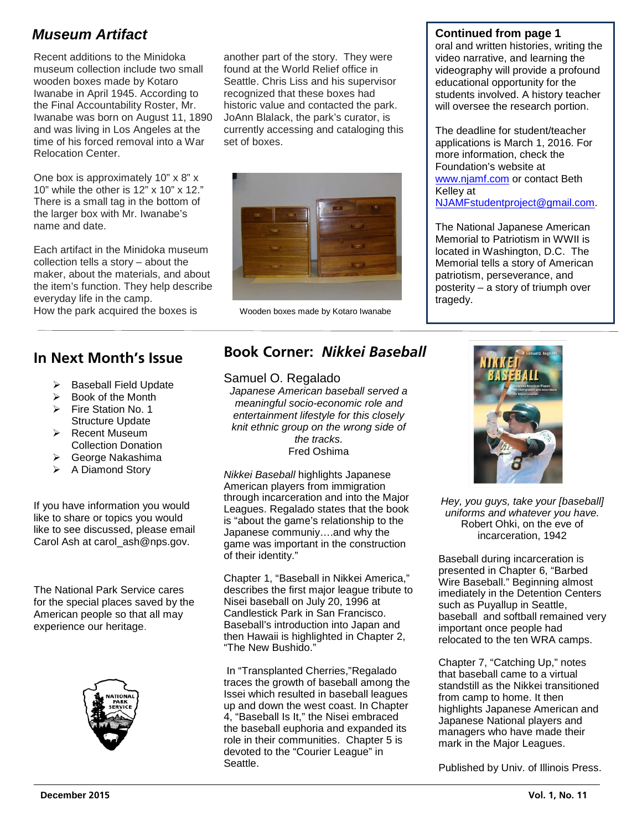# *Museum Artifact* **Continued from page 1**

Recent additions to the Minidoka museum collection include two small wooden boxes made by Kotaro Iwanabe in April 1945. According to the Final Accountability Roster, Mr. Iwanabe was born on August 11, 1890 and was living in Los Angeles at the time of his forced removal into a War Relocation Center.

One box is approximately 10" x 8" x 10" while the other is 12" x 10" x 12." There is a small tag in the bottom of the larger box with Mr. Iwanabe's name and date.

Each artifact in the Minidoka museum collection tells a story – about the maker, about the materials, and about the item's function. They help describe everyday life in the camp. How the park acquired the boxes is

# **In Next Month's Issue**

- $\triangleright$  Baseball Field Update
- $\triangleright$  Book of the Month
- Fire Station No. 1
- Structure Update  $\triangleright$  Recent Museum
- Collection Donation George Nakashima
- $\triangleright$  A Diamond Story
- 

If you have information you would like to share or topics you would like to see discussed, please email Carol Ash at carol\_ash@nps.gov.

The National Park Service cares for the special places saved by the American people so that all may experience our heritage.



another part of the story. They were found at the World Relief office in Seattle. Chris Liss and his supervisor recognized that these boxes had historic value and contacted the park. JoAnn Blalack, the park's curator, is currently accessing and cataloging this set of boxes.



Wooden boxes made by Kotaro Iwanabe

oral and written histories, writing the video narrative, and learning the videography will provide a profound educational opportunity for the students involved. A history teacher will oversee the research portion.

The deadline for student/teacher applications is March 1, 2016. For more information, check the Foundation's website at [www.njamf.com](http://www.njamf.com/) or contact Beth Kelley at [NJAMFstudentproject@gmail.com.](mailto:NJAMFstudentproject@gmail.com)

The National Japanese American Memorial to Patriotism in WWII is located in Washington, D.C. The Memorial tells a story of American patriotism, perseverance, and posterity – a story of triumph over tragedy.

# **Book Corner:** *Nikkei Baseball*

#### Samuel O. Regalado

*Japanese American baseball served a meaningful socio-economic role and entertainment lifestyle for this closely knit ethnic group on the wrong side of the tracks. the tracks.*<br>Fred Oshima

*Nikkei Baseball* highlights Japanese wikker *Baseban* nightights Japanes<br>American players from immigration Amencan players non-immigration<br>through incarceration and into the Major Leagues. Regalado states that the book is "about the game's relationship to the Japanese communiy….and why the game was important in the construction of their identity."

Chapter 1, "Baseball in Nikkei America," describes the first major league tribute to Nisei baseball on July 20, 1996 at Candlestick Park in San Francisco. Baseball's introduction into Japan and then Hawaii is highlighted in Chapter 2, "The New Bushido."

In "Transplanted Cherries,"Regalado traces the growth of baseball among the Issei which resulted in baseball leagues up and down the west coast. In Chapter 4, "Baseball Is It," the Nisei embraced the baseball euphoria and expanded its role in their communities. Chapter 5 is devoted to the "Courier League" in Seattle.



*Hey, you guys, take your [baseball] uniforms and whatever you have.* Robert Ohki, on the eve of incarceration, 1942

Baseball during incarceration is presented in Chapter 6, "Barbed Wire Baseball." Beginning almost imediately in the Detention Centers such as Puyallup in Seattle, baseball and softball remained very important once people had relocated to the ten WRA camps.

Chapter 7, "Catching Up," notes that baseball came to a virtual standstill as the Nikkei transitioned from camp to home. It then highlights Japanese American and Japanese National players and managers who have made their mark in the Major Leagues.

Published by Univ. of Illinois Press.